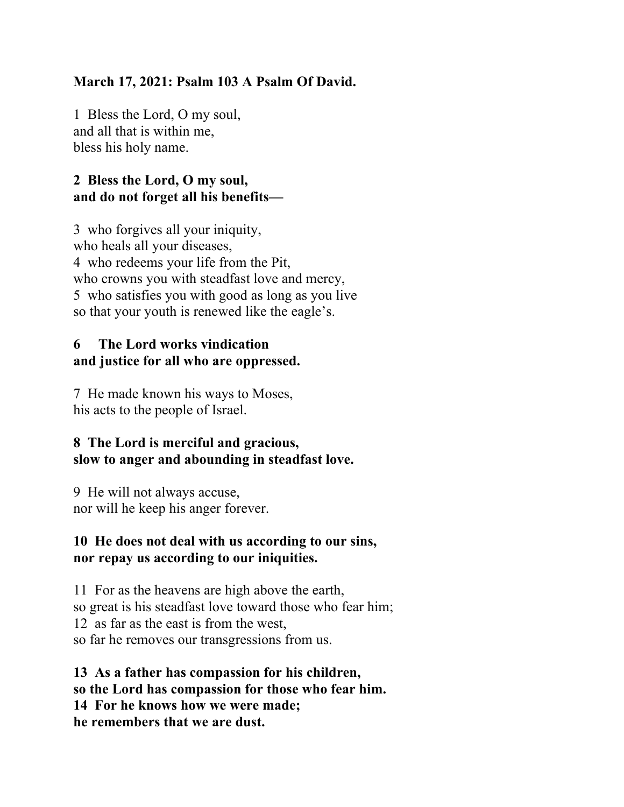## **March 17, 2021: Psalm 103 A Psalm Of David.**

1 Bless the Lord, O my soul, and all that is within me, bless his holy name.

# **2 Bless the Lord, O my soul, and do not forget all his benefits—**

3 who forgives all your iniquity, who heals all your diseases, 4 who redeems your life from the Pit, who crowns you with steadfast love and mercy, 5 who satisfies you with good as long as you live so that your youth is renewed like the eagle's.

### **6 The Lord works vindication and justice for all who are oppressed.**

7 He made known his ways to Moses, his acts to the people of Israel.

### **8 The Lord is merciful and gracious, slow to anger and abounding in steadfast love.**

9 He will not always accuse, nor will he keep his anger forever.

### **10 He does not deal with us according to our sins, nor repay us according to our iniquities.**

11 For as the heavens are high above the earth, so great is his steadfast love toward those who fear him; 12 as far as the east is from the west, so far he removes our transgressions from us.

**13 As a father has compassion for his children, so the Lord has compassion for those who fear him. 14 For he knows how we were made; he remembers that we are dust.**